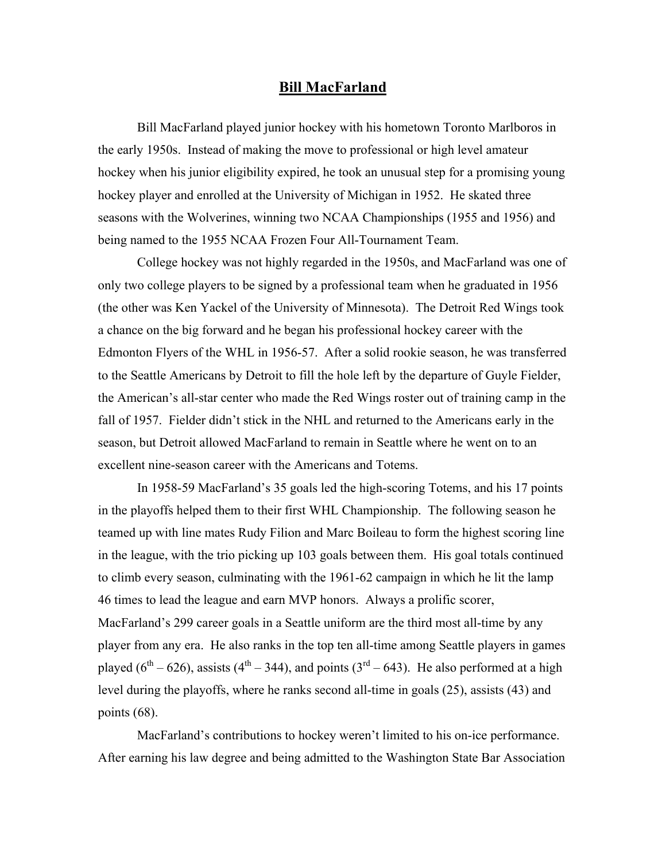## **Bill MacFarland**

Bill MacFarland played junior hockey with his hometown Toronto Marlboros in the early 1950s. Instead of making the move to professional or high level amateur hockey when his junior eligibility expired, he took an unusual step for a promising young hockey player and enrolled at the University of Michigan in 1952. He skated three seasons with the Wolverines, winning two NCAA Championships (1955 and 1956) and being named to the 1955 NCAA Frozen Four All-Tournament Team.

College hockey was not highly regarded in the 1950s, and MacFarland was one of only two college players to be signed by a professional team when he graduated in 1956 (the other was Ken Yackel of the University of Minnesota). The Detroit Red Wings took a chance on the big forward and he began his professional hockey career with the Edmonton Flyers of the WHL in 1956-57. After a solid rookie season, he was transferred to the Seattle Americans by Detroit to fill the hole left by the departure of Guyle Fielder, the American's all-star center who made the Red Wings roster out of training camp in the fall of 1957. Fielder didn't stick in the NHL and returned to the Americans early in the season, but Detroit allowed MacFarland to remain in Seattle where he went on to an excellent nine-season career with the Americans and Totems.

In 1958-59 MacFarland's 35 goals led the high-scoring Totems, and his 17 points in the playoffs helped them to their first WHL Championship. The following season he teamed up with line mates Rudy Filion and Marc Boileau to form the highest scoring line in the league, with the trio picking up 103 goals between them. His goal totals continued to climb every season, culminating with the 1961-62 campaign in which he lit the lamp 46 times to lead the league and earn MVP honors. Always a prolific scorer, MacFarland's 299 career goals in a Seattle uniform are the third most all-time by any player from any era. He also ranks in the top ten all-time among Seattle players in games played ( $6^{th}$  – 626), assists ( $4^{th}$  – 344), and points ( $3^{rd}$  – 643). He also performed at a high level during the playoffs, where he ranks second all-time in goals (25), assists (43) and points (68).

MacFarland's contributions to hockey weren't limited to his on-ice performance. After earning his law degree and being admitted to the Washington State Bar Association